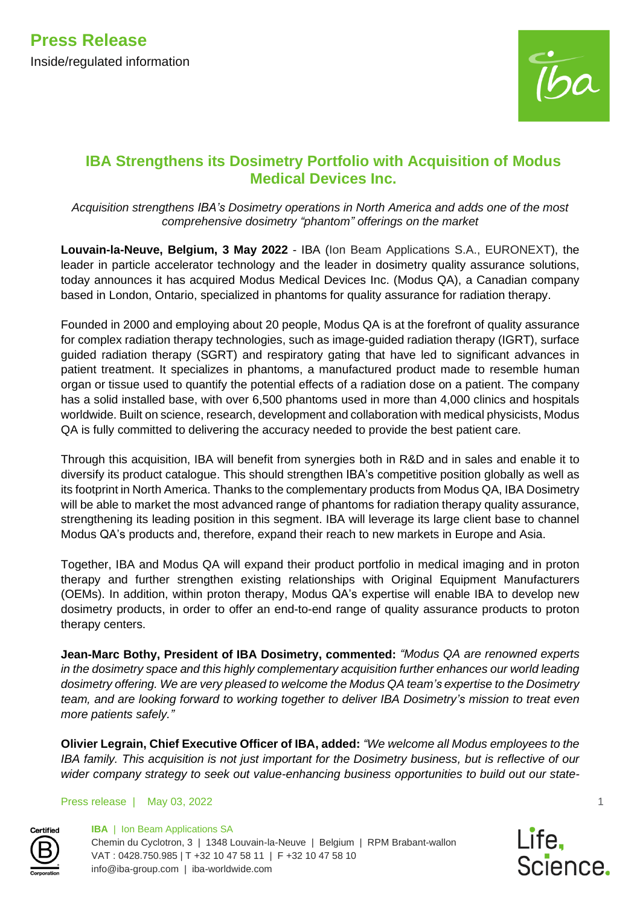

# **IBA Strengthens its Dosimetry Portfolio with Acquisition of Modus Medical Devices Inc.**

*Acquisition strengthens IBA's Dosimetry operations in North America and adds one of the most comprehensive dosimetry "phantom" offerings on the market*

**Louvain-la-Neuve, Belgium, 3 May 2022** - IBA (Ion Beam Applications S.A., EURONEXT), the leader in particle accelerator technology and the leader in dosimetry quality assurance solutions, today announces it has acquired Modus Medical Devices Inc. (Modus QA), a Canadian company based in London, Ontario, specialized in phantoms for quality assurance for radiation therapy.

Founded in 2000 and employing about 20 people, Modus QA is at the forefront of quality assurance for complex radiation therapy technologies, such as image-guided radiation therapy (IGRT), surface guided radiation therapy (SGRT) and respiratory gating that have led to significant advances in patient treatment. It specializes in phantoms, a manufactured product made to resemble human organ or tissue used to quantify the potential effects of a radiation dose on a patient. The company has a solid installed base, with over 6,500 phantoms used in more than 4,000 clinics and hospitals worldwide. Built on science, research, development and collaboration with medical physicists, Modus QA is fully committed to delivering the accuracy needed to provide the best patient care.

Through this acquisition, IBA will benefit from synergies both in R&D and in sales and enable it to diversify its product catalogue. This should strengthen IBA's competitive position globally as well as its footprint in North America. Thanks to the complementary products from Modus QA, IBA Dosimetry will be able to market the most advanced range of phantoms for radiation therapy quality assurance, strengthening its leading position in this segment. IBA will leverage its large client base to channel Modus QA's products and, therefore, expand their reach to new markets in Europe and Asia.

Together, IBA and Modus QA will expand their product portfolio in medical imaging and in proton therapy and further strengthen existing relationships with Original Equipment Manufacturers (OEMs). In addition, within proton therapy, Modus QA's expertise will enable IBA to develop new dosimetry products, in order to offer an end-to-end range of quality assurance products to proton therapy centers.

**Jean-Marc Bothy, President of IBA Dosimetry, commented:** *"Modus QA are renowned experts in the dosimetry space and this highly complementary acquisition further enhances our world leading dosimetry offering. We are very pleased to welcome the Modus QA team's expertise to the Dosimetry team, and are looking forward to working together to deliver IBA Dosimetry's mission to treat even more patients safely."* 

**Olivier Legrain, Chief Executive Officer of IBA, added:** *"We welcome all Modus employees to the IBA family. This acquisition is not just important for the Dosimetry business, but is reflective of our wider company strategy to seek out value-enhancing business opportunities to build out our state-*

Press release | May 03, 2022





1